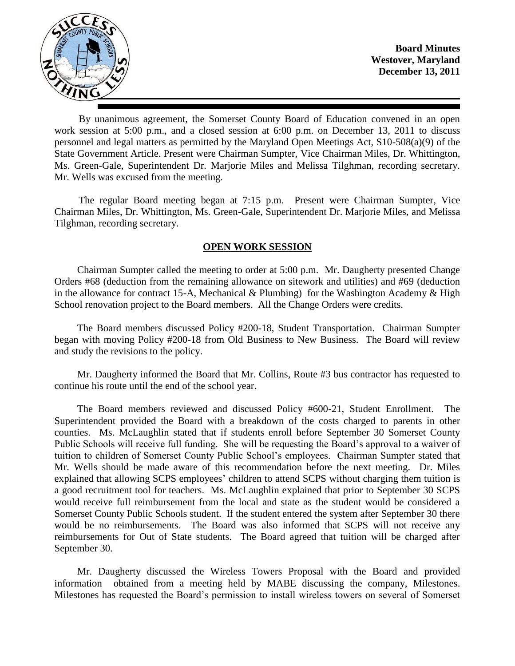

**Board Minutes Westover, Maryland December 13, 2011**

By unanimous agreement, the Somerset County Board of Education convened in an open work session at 5:00 p.m., and a closed session at 6:00 p.m. on December 13, 2011 to discuss personnel and legal matters as permitted by the Maryland Open Meetings Act, S10-508(a)(9) of the State Government Article. Present were Chairman Sumpter, Vice Chairman Miles, Dr. Whittington, Ms. Green-Gale, Superintendent Dr. Marjorie Miles and Melissa Tilghman, recording secretary. Mr. Wells was excused from the meeting.

The regular Board meeting began at 7:15 p.m. Present were Chairman Sumpter, Vice Chairman Miles, Dr. Whittington, Ms. Green-Gale, Superintendent Dr. Marjorie Miles, and Melissa Tilghman, recording secretary.

## **OPEN WORK SESSION**

Chairman Sumpter called the meeting to order at 5:00 p.m. Mr. Daugherty presented Change Orders #68 (deduction from the remaining allowance on sitework and utilities) and #69 (deduction in the allowance for contract 15-A, Mechanical & Plumbing) for the Washington Academy & High School renovation project to the Board members. All the Change Orders were credits.

The Board members discussed Policy #200-18, Student Transportation. Chairman Sumpter began with moving Policy #200-18 from Old Business to New Business. The Board will review and study the revisions to the policy.

Mr. Daugherty informed the Board that Mr. Collins, Route #3 bus contractor has requested to continue his route until the end of the school year.

The Board members reviewed and discussed Policy #600-21, Student Enrollment. The Superintendent provided the Board with a breakdown of the costs charged to parents in other counties. Ms. McLaughlin stated that if students enroll before September 30 Somerset County Public Schools will receive full funding. She will be requesting the Board's approval to a waiver of tuition to children of Somerset County Public School's employees. Chairman Sumpter stated that Mr. Wells should be made aware of this recommendation before the next meeting. Dr. Miles explained that allowing SCPS employees' children to attend SCPS without charging them tuition is a good recruitment tool for teachers. Ms. McLaughlin explained that prior to September 30 SCPS would receive full reimbursement from the local and state as the student would be considered a Somerset County Public Schools student. If the student entered the system after September 30 there would be no reimbursements. The Board was also informed that SCPS will not receive any reimbursements for Out of State students. The Board agreed that tuition will be charged after September 30.

Mr. Daugherty discussed the Wireless Towers Proposal with the Board and provided information obtained from a meeting held by MABE discussing the company, Milestones. Milestones has requested the Board's permission to install wireless towers on several of Somerset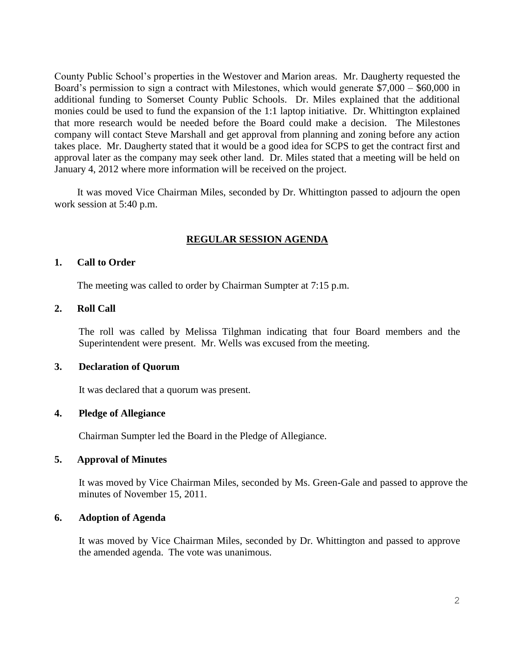County Public School's properties in the Westover and Marion areas. Mr. Daugherty requested the Board's permission to sign a contract with Milestones, which would generate \$7,000 – \$60,000 in additional funding to Somerset County Public Schools. Dr. Miles explained that the additional monies could be used to fund the expansion of the 1:1 laptop initiative. Dr. Whittington explained that more research would be needed before the Board could make a decision. The Milestones company will contact Steve Marshall and get approval from planning and zoning before any action takes place. Mr. Daugherty stated that it would be a good idea for SCPS to get the contract first and approval later as the company may seek other land. Dr. Miles stated that a meeting will be held on January 4, 2012 where more information will be received on the project.

It was moved Vice Chairman Miles, seconded by Dr. Whittington passed to adjourn the open work session at 5:40 p.m.

## **REGULAR SESSION AGENDA**

#### **1. Call to Order**

The meeting was called to order by Chairman Sumpter at 7:15 p.m.

#### **2. Roll Call**

The roll was called by Melissa Tilghman indicating that four Board members and the Superintendent were present. Mr. Wells was excused from the meeting.

### **3. Declaration of Quorum**

It was declared that a quorum was present.

#### **4. Pledge of Allegiance**

Chairman Sumpter led the Board in the Pledge of Allegiance.

### **5. Approval of Minutes**

It was moved by Vice Chairman Miles, seconded by Ms. Green-Gale and passed to approve the minutes of November 15, 2011.

### **6. Adoption of Agenda**

It was moved by Vice Chairman Miles, seconded by Dr. Whittington and passed to approve the amended agenda. The vote was unanimous.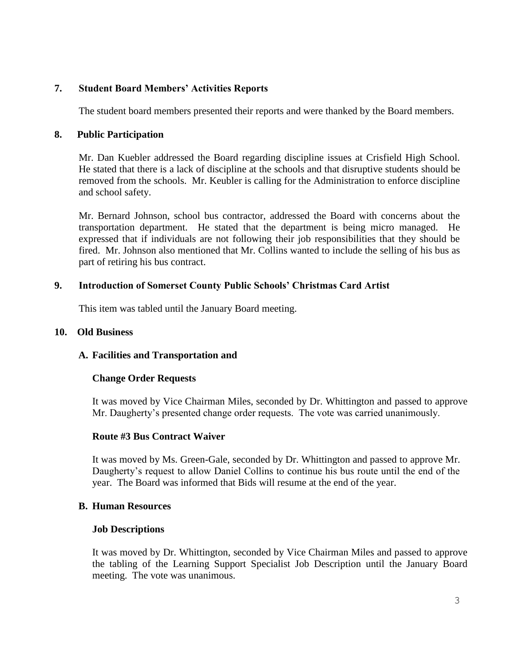# **7. Student Board Members' Activities Reports**

The student board members presented their reports and were thanked by the Board members.

### **8. Public Participation**

Mr. Dan Kuebler addressed the Board regarding discipline issues at Crisfield High School. He stated that there is a lack of discipline at the schools and that disruptive students should be removed from the schools. Mr. Keubler is calling for the Administration to enforce discipline and school safety.

Mr. Bernard Johnson, school bus contractor, addressed the Board with concerns about the transportation department. He stated that the department is being micro managed. He expressed that if individuals are not following their job responsibilities that they should be fired. Mr. Johnson also mentioned that Mr. Collins wanted to include the selling of his bus as part of retiring his bus contract.

## **9. Introduction of Somerset County Public Schools' Christmas Card Artist**

This item was tabled until the January Board meeting.

#### **10. Old Business**

### **A. Facilities and Transportation and**

### **Change Order Requests**

It was moved by Vice Chairman Miles, seconded by Dr. Whittington and passed to approve Mr. Daugherty's presented change order requests. The vote was carried unanimously.

### **Route #3 Bus Contract Waiver**

It was moved by Ms. Green-Gale, seconded by Dr. Whittington and passed to approve Mr. Daugherty's request to allow Daniel Collins to continue his bus route until the end of the year. The Board was informed that Bids will resume at the end of the year.

### **B. Human Resources**

#### **Job Descriptions**

It was moved by Dr. Whittington, seconded by Vice Chairman Miles and passed to approve the tabling of the Learning Support Specialist Job Description until the January Board meeting. The vote was unanimous.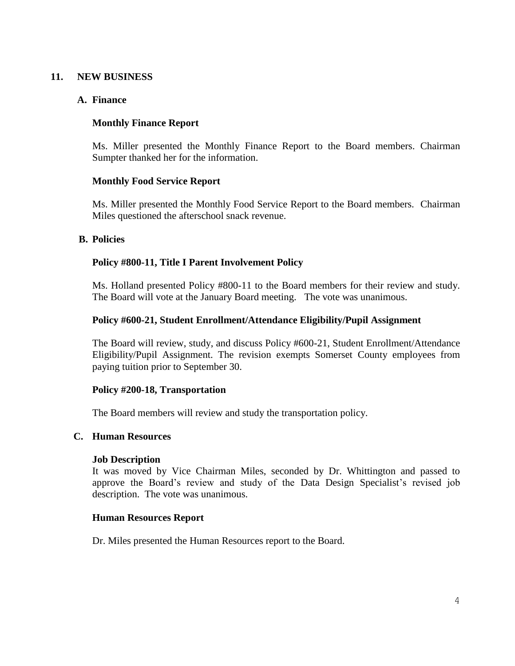## **11. NEW BUSINESS**

## **A. Finance**

# **Monthly Finance Report**

Ms. Miller presented the Monthly Finance Report to the Board members. Chairman Sumpter thanked her for the information.

## **Monthly Food Service Report**

Ms. Miller presented the Monthly Food Service Report to the Board members. Chairman Miles questioned the afterschool snack revenue.

### **B. Policies**

## **Policy #800-11, Title I Parent Involvement Policy**

Ms. Holland presented Policy #800-11 to the Board members for their review and study. The Board will vote at the January Board meeting. The vote was unanimous.

## **Policy #600-21, Student Enrollment/Attendance Eligibility/Pupil Assignment**

The Board will review, study, and discuss Policy #600-21, Student Enrollment/Attendance Eligibility/Pupil Assignment. The revision exempts Somerset County employees from paying tuition prior to September 30.

### **Policy #200-18, Transportation**

The Board members will review and study the transportation policy.

### **C. Human Resources**

### **Job Description**

It was moved by Vice Chairman Miles, seconded by Dr. Whittington and passed to approve the Board's review and study of the Data Design Specialist's revised job description. The vote was unanimous.

### **Human Resources Report**

Dr. Miles presented the Human Resources report to the Board.